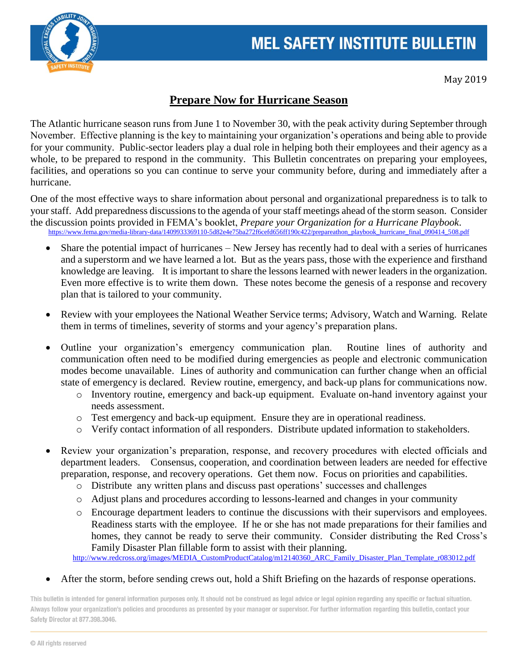

May 2019

## **Prepare Now for Hurricane Season**

The Atlantic hurricane season runs from June 1 to November 30, with the peak activity during September through November. Effective planning is the key to maintaining your organization's operations and being able to provide for your community. Public-sector leaders play a dual role in helping both their employees and their agency as a whole, to be prepared to respond in the community. This Bulletin concentrates on preparing your employees, facilities, and operations so you can continue to serve your community before, during and immediately after a hurricane.

One of the most effective ways to share information about personal and organizational preparedness is to talk to your staff. Add preparedness discussions to the agenda of your staff meetings ahead of the storm season. Consider the discussion points provided in FEMA's booklet, *Prepare your Organization for a Hurricane Playbook*. [https://www.fema.gov/media-library-data/1409933369110-5d82e4e75ba272f6cefd656ff190c422/prepareathon\\_playbook\\_hurricane\\_final\\_090414\\_508.pdf](https://www.fema.gov/media-library-data/1409933369110-5d82e4e75ba272f6cefd656ff190c422/prepareathon_playbook_hurricane_final_090414_508.pdf)

- Share the potential impact of hurricanes New Jersey has recently had to deal with a series of hurricanes and a superstorm and we have learned a lot. But as the years pass, those with the experience and firsthand knowledge are leaving. It is important to share the lessons learned with newer leaders in the organization. Even more effective is to write them down. These notes become the genesis of a response and recovery plan that is tailored to your community.
- Review with your employees the National Weather Service terms; Advisory, Watch and Warning. Relate them in terms of timelines, severity of storms and your agency's preparation plans.
- Outline your organization's emergency communication plan. Routine lines of authority and communication often need to be modified during emergencies as people and electronic communication modes become unavailable. Lines of authority and communication can further change when an official state of emergency is declared. Review routine, emergency, and back-up plans for communications now.
	- o Inventory routine, emergency and back-up equipment. Evaluate on-hand inventory against your needs assessment.
	- o Test emergency and back-up equipment. Ensure they are in operational readiness.
	- o Verify contact information of all responders. Distribute updated information to stakeholders.
- Review your organization's preparation, response, and recovery procedures with elected officials and department leaders. Consensus, cooperation, and coordination between leaders are needed for effective preparation, response, and recovery operations. Get them now. Focus on priorities and capabilities.
	- o Distribute any written plans and discuss past operations' successes and challenges
	- o Adjust plans and procedures according to lessons-learned and changes in your community
	- o Encourage department leaders to continue the discussions with their supervisors and employees. Readiness starts with the employee. If he or she has not made preparations for their families and homes, they cannot be ready to serve their community. Consider distributing the Red Cross's Family Disaster Plan fillable form to assist with their planning.

[http://www.redcross.org/images/MEDIA\\_CustomProductCatalog/m12140360\\_ARC\\_Family\\_Disaster\\_Plan\\_Template\\_r083012.pdf](http://www.redcross.org/images/MEDIA_CustomProductCatalog/m12140360_ARC_Family_Disaster_Plan_Template_r083012.pdf)

After the storm, before sending crews out, hold a Shift Briefing on the hazards of response operations.

This bulletin is intended for general information purposes only. It should not be construed as legal advice or legal opinion regarding any specific or factual situation. Always follow your organization's policies and procedures as presented by your manager or supervisor. For further information regarding this bulletin, contact your Safety Director at 877.398.3046.